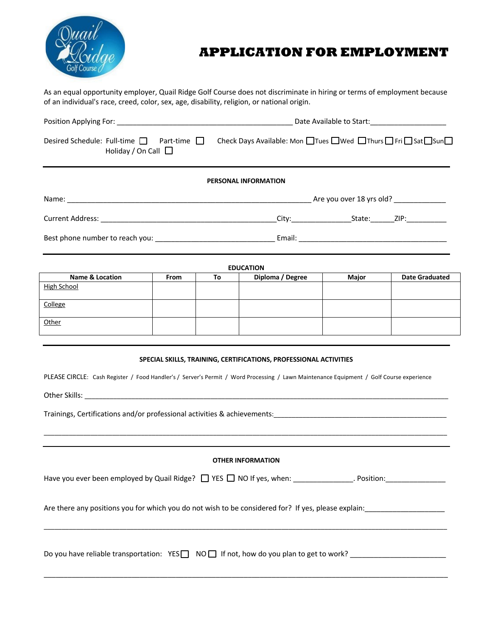

# **APPLICATION FOR EMPLOYMENT**

As an equal opportunity employer, Quail Ridge Golf Course does not discriminate in hiring or terms of employment because of an individual's race, creed, color, sex, age, disability, religion, or national origin.

| Desired Schedule: Full-time $\Box$ Part-time $\Box$<br>Holiday / On Call $\Box$ | Check Days Available: Mon $\Box$ Tues $\Box$ Wed $\Box$ Thurs $\Box$ Fri $\Box$ Sat $\Box$ Sun $\Box$ |  |  |  |  |
|---------------------------------------------------------------------------------|-------------------------------------------------------------------------------------------------------|--|--|--|--|
|                                                                                 | <b>PERSONAL INFORMATION</b>                                                                           |  |  |  |  |
|                                                                                 |                                                                                                       |  |  |  |  |
|                                                                                 |                                                                                                       |  |  |  |  |
|                                                                                 |                                                                                                       |  |  |  |  |
|                                                                                 | <b>ENUCATION</b>                                                                                      |  |  |  |  |

| <b>Name &amp; Location</b> | <b>From</b> | То | Diploma / Degree | <b>Major</b> | <b>Date Graduated</b> |
|----------------------------|-------------|----|------------------|--------------|-----------------------|
| <b>High School</b>         |             |    |                  |              |                       |
| College                    |             |    |                  |              |                       |
| Other                      |             |    |                  |              |                       |

## **SPECIAL SKILLS, TRAINING, CERTIFICATIONS, PROFESSIONAL ACTIVITIES**

PLEASE CIRCLE: Cash Register / Food Handler's / Server's Permit / Word Processing / Lawn Maintenance Equipment / Golf Course experience

Other Skills: \_\_\_\_\_\_\_\_\_\_\_\_\_\_\_\_\_\_\_\_\_\_\_\_\_\_\_\_\_\_\_\_\_\_\_\_\_\_\_\_\_\_\_\_\_\_\_\_\_\_\_\_\_\_\_\_\_\_\_\_\_\_\_\_\_\_\_\_\_\_\_\_\_\_\_\_\_\_\_\_\_\_\_\_\_\_\_\_\_\_\_\_\_\_\_\_\_\_\_\_\_

Trainings, Certifications and/or professional activities & achievements:\_\_\_\_\_\_\_\_\_\_\_\_\_\_\_\_\_\_\_\_\_\_\_\_\_\_\_\_\_\_\_\_\_\_\_\_\_\_\_\_\_\_\_\_\_\_\_\_

## **OTHER INFORMATION**

\_\_\_\_\_\_\_\_\_\_\_\_\_\_\_\_\_\_\_\_\_\_\_\_\_\_\_\_\_\_\_\_\_\_\_\_\_\_\_\_\_\_\_\_\_\_\_\_\_\_\_\_\_\_\_\_\_\_\_\_\_\_\_\_\_\_\_\_\_\_\_\_\_\_\_\_\_\_\_\_\_\_\_\_\_\_\_\_\_\_\_\_\_\_\_\_\_\_\_\_\_\_\_\_\_\_\_\_\_\_\_\_

Have you ever been employed by Quail Ridge?  $\Box$  YES  $\Box$  NO If yes, when: \_\_\_\_\_\_\_\_\_\_\_\_\_\_. Position:

\_\_\_\_\_\_\_\_\_\_\_\_\_\_\_\_\_\_\_\_\_\_\_\_\_\_\_\_\_\_\_\_\_\_\_\_\_\_\_\_\_\_\_\_\_\_\_\_\_\_\_\_\_\_\_\_\_\_\_\_\_\_\_\_\_\_\_\_\_\_\_\_\_\_\_\_\_\_\_\_\_\_\_\_\_\_\_\_\_\_\_\_\_\_\_\_\_\_\_\_\_\_\_\_\_\_\_\_\_\_\_\_

\_\_\_\_\_\_\_\_\_\_\_\_\_\_\_\_\_\_\_\_\_\_\_\_\_\_\_\_\_\_\_\_\_\_\_\_\_\_\_\_\_\_\_\_\_\_\_\_\_\_\_\_\_\_\_\_\_\_\_\_\_\_\_\_\_\_\_\_\_\_\_\_\_\_\_\_\_\_\_\_\_\_\_\_\_\_\_\_\_\_\_\_\_\_\_\_\_\_\_\_\_

Are there any positions you for which you do not wish to be considered for? If yes, please explain:

Do you have reliable transportation: YES  $\Box$  NO  $\Box$  If not, how do you plan to get to work?